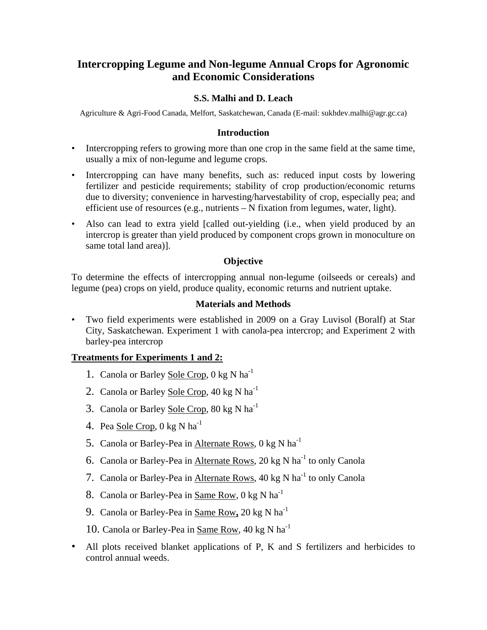# **Intercropping Legume and Non-legume Annual Crops for Agronomic and Economic Considerations**

## **S.S. Malhi and D. Leach**

Agriculture & Agri-Food Canada, Melfort, Saskatchewan, Canada (E-mail: sukhdev.malhi@agr.gc.ca)

#### **Introduction**

- Intercropping refers to growing more than one crop in the same field at the same time, usually a mix of non-legume and legume crops.
- Intercropping can have many benefits, such as: reduced input costs by lowering fertilizer and pesticide requirements; stability of crop production/economic returns due to diversity; convenience in harvesting/harvestability of crop, especially pea; and efficient use of resources (e.g., nutrients – N fixation from legumes, water, light).
- Also can lead to extra yield [called out-yielding (i.e., when yield produced by an intercrop is greater than yield produced by component crops grown in monoculture on same total land area)].

#### **Objective**

To determine the effects of intercropping annual non-legume (oilseeds or cereals) and legume (pea) crops on yield, produce quality, economic returns and nutrient uptake.

#### **Materials and Methods**

• Two field experiments were established in 2009 on a Gray Luvisol (Boralf) at Star City, Saskatchewan. Experiment 1 with canola-pea intercrop; and Experiment 2 with barley-pea intercrop

## **Treatments for Experiments 1 and 2:**

- 1. Canola or Barley Sole Crop, 0 kg N ha<sup>-1</sup>
- 2. Canola or Barley Sole Crop, 40 kg N ha<sup>-1</sup>
- 3. Canola or Barley Sole Crop, 80 kg N ha<sup>-1</sup>
- 4. Pea Sole Crop,  $0 \text{ kg } N \text{ ha}^{-1}$
- 5. Canola or Barley-Pea in Alternate Rows, 0 kg N ha<sup>-1</sup>
- 6. Canola or Barley-Pea in Alternate Rows, 20 kg N ha<sup>-1</sup> to only Canola
- 7. Canola or Barley-Pea in Alternate Rows, 40 kg N ha<sup>-1</sup> to only Canola
- 8. Canola or Barley-Pea in Same Row, 0 kg N ha<sup>-1</sup>
- 9. Canola or Barley-Pea in Same Row**,** 20 kg N ha-1
- 10. Canola or Barley-Pea in Same Row, 40 kg N ha-1
- All plots received blanket applications of P, K and S fertilizers and herbicides to control annual weeds.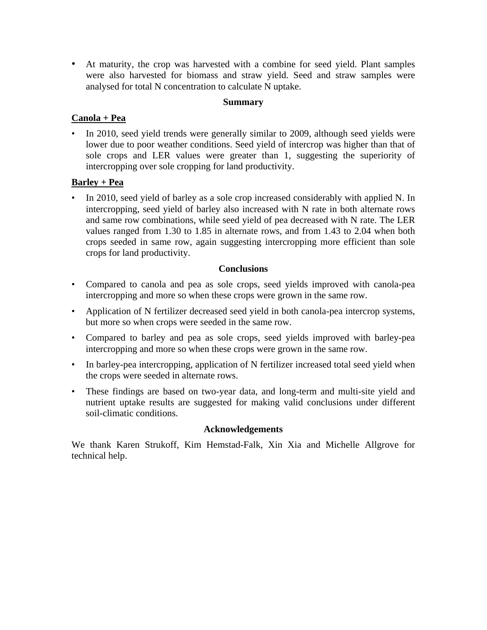• At maturity, the crop was harvested with a combine for seed yield. Plant samples were also harvested for biomass and straw yield. Seed and straw samples were analysed for total N concentration to calculate N uptake.

#### **Summary**

## **Canola + Pea**

• In 2010, seed yield trends were generally similar to 2009, although seed yields were lower due to poor weather conditions. Seed yield of intercrop was higher than that of sole crops and LER values were greater than 1, suggesting the superiority of intercropping over sole cropping for land productivity.

## **Barley + Pea**

• In 2010, seed yield of barley as a sole crop increased considerably with applied N. In intercropping, seed yield of barley also increased with N rate in both alternate rows and same row combinations, while seed yield of pea decreased with N rate. The LER values ranged from 1.30 to 1.85 in alternate rows, and from 1.43 to 2.04 when both crops seeded in same row, again suggesting intercropping more efficient than sole crops for land productivity.

## **Conclusions**

- Compared to canola and pea as sole crops, seed yields improved with canola-pea intercropping and more so when these crops were grown in the same row.
- Application of N fertilizer decreased seed yield in both canola-pea intercrop systems, but more so when crops were seeded in the same row.
- Compared to barley and pea as sole crops, seed yields improved with barley-pea intercropping and more so when these crops were grown in the same row.
- In barley-pea intercropping, application of N fertilizer increased total seed yield when the crops were seeded in alternate rows.
- These findings are based on two-year data, and long-term and multi-site yield and nutrient uptake results are suggested for making valid conclusions under different soil-climatic conditions.

## **Acknowledgements**

We thank Karen Strukoff, Kim Hemstad-Falk, Xin Xia and Michelle Allgrove for technical help.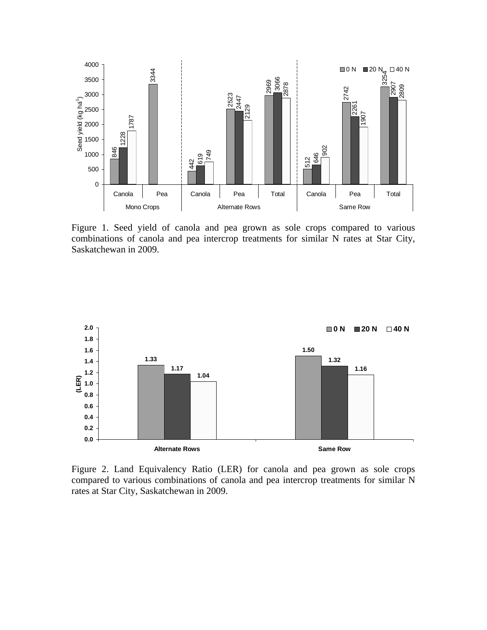

Figure 1. Seed yield of canola and pea grown as sole crops compared to various combinations of canola and pea intercrop treatments for similar N rates at Star City, Saskatchewan in 2009.



Figure 2. Land Equivalency Ratio (LER) for canola and pea grown as sole crops compared to various combinations of canola and pea intercrop treatments for similar N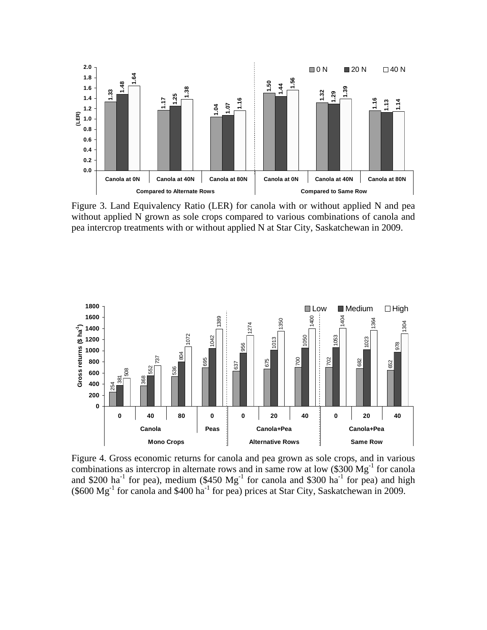

Figure 3. Land Equivalency Ratio (LER) for canola with or without applied N and pea without applied N grown as sole crops compared to various combinations of canola and pea intercrop treatments with or without applied N at Star City, Saskatchewan in 2009.



Figure 4. Gross economic returns for canola and pea grown as sole crops, and in various combinations as intercrop in alternate rows and in same row at low  $$300 \text{ Mg}^{-1}$$  for canola and \$200 ha<sup>-1</sup> for pea), medium (\$450  $Mg^{-1}$  for canola and \$300 ha<sup>-1</sup> for pea) and high  $(\$600 Mg<sup>-1</sup>$  for canola and \$400 ha<sup>-1</sup> for pea) prices at Star City, Saskatchewan in 2009.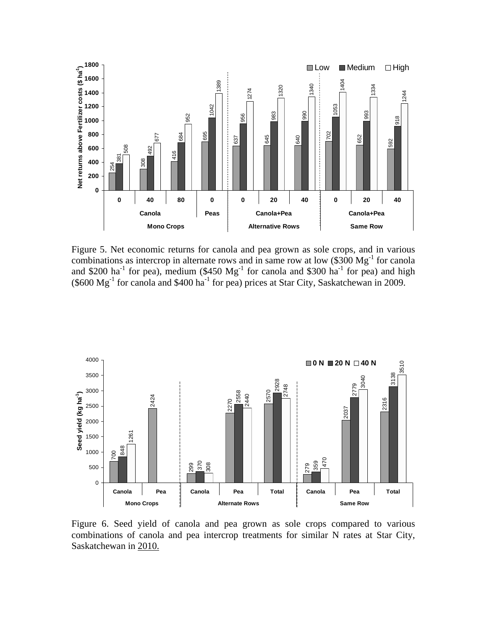

Figure 5. Net economic returns for canola and pea grown as sole crops, and in various combinations as intercrop in alternate rows and in same row at low  $(\$300 \text{ Mg}^{-1}$  for canola and \$200 ha<sup>-1</sup> for pea), medium (\$450  $Mg<sup>-1</sup>$  for canola and \$300 ha<sup>-1</sup> for pea) and high  $(\$600 Mg<sup>-1</sup>$  for canola and \$400 ha<sup>-1</sup> for pea) prices at Star City, Saskatchewan in 2009.



Figure 6. Seed yield of canola and pea grown as sole crops compared to various combinations of canola and pea intercrop treatments for similar N rates at Star City,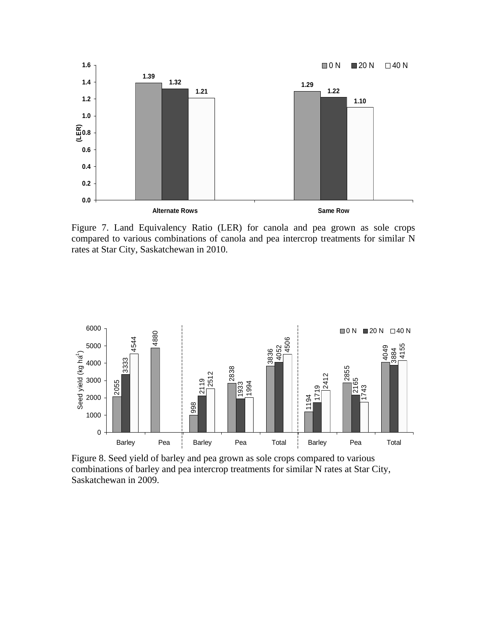

Figure 7. Land Equivalency Ratio (LER) for canola and pea grown as sole crops compared to various combinations of canola and pea intercrop treatments for similar N rates at Star City, Saskatchewan in 2010.



Figure 8. Seed yield of barley and pea grown as sole crops compared to various combinations of barley and pea intercrop treatments for similar N rates at Star City, Saskatchewan in 2009.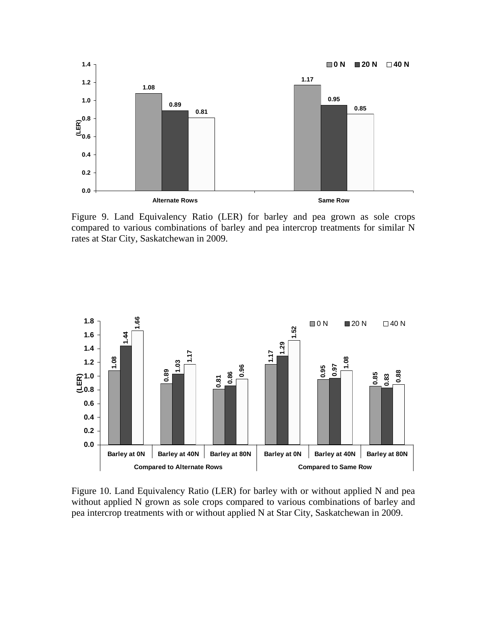

Figure 9. Land Equivalency Ratio (LER) for barley and pea grown as sole crops compared to various combinations of barley and pea intercrop treatments for similar N rates at Star City, Saskatchewan in 2009.



Figure 10. Land Equivalency Ratio (LER) for barley with or without applied N and pea without applied N grown as sole crops compared to various combinations of barley and pea intercrop treatments with or without applied N at Star City, Saskatchewan in 2009.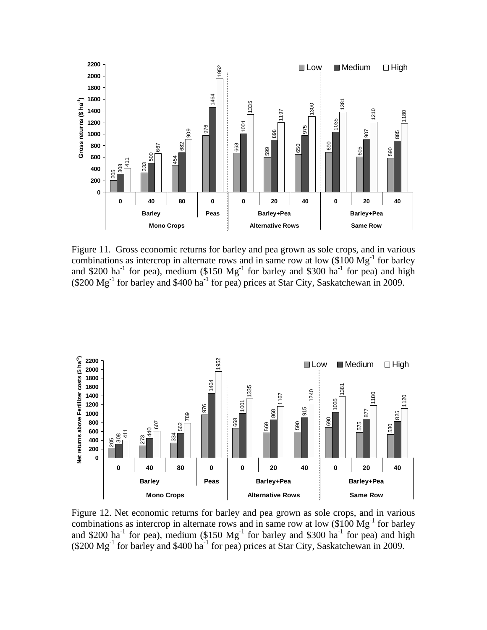

Figure 11. Gross economic returns for barley and pea grown as sole crops, and in various combinations as intercrop in alternate rows and in same row at low  $(\$100 \text{ Mg}^{-1}$  for barley and \$200 ha<sup>-1</sup> for pea), medium (\$150  $Mg^{-1}$  for barley and \$300 ha<sup>-1</sup> for pea) and high  $(200 \text{ Mg}^{-1}$  for barley and \$400 ha<sup>-1</sup> for pea) prices at Star City, Saskatchewan in 2009.



Figure 12. Net economic returns for barley and pea grown as sole crops, and in various combinations as intercrop in alternate rows and in same row at low  $(\$100 \text{ Mg}^{-1}$  for barley and \$200 ha<sup>-1</sup> for pea), medium (\$150  $Mg^{-1}$  for barley and \$300 ha<sup>-1</sup> for pea) and high (\$200  $Mg^{-1}$  for barley and \$400 ha<sup>-1</sup> for pea) prices at Star City, Saskatchewan in 2009.